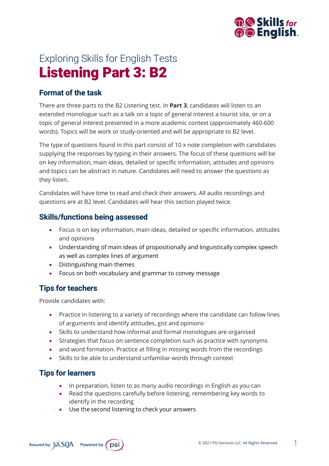

# Exploring Skills for English Tests Listening Part 3: B2

## **Format of the task**

There are three parts to the B2 Listening test. In **Part 3**, candidates will listen to an extended monologue such as a talk on a topic of general interest a tourist site, or on a topic of general interest presented in a more academic context (approximately 460-600 words). Topics will be work or study-oriented and will be appropriate to B2 level.

The type of questions found in this part consist of 10 x note completion with candidates supplying the responses by typing in their answers. The focus of these questions will be on key information, main ideas, detailed or specific information, attitudes and opinions and topics can be abstract in nature. Candidates will need to answer the questions as they listen.

Candidates will have time to read and check their answers. All audio recordings and questions are at B2 level. Candidates will hear this section played twice.

## **Skills/functions being assessed**

- Focus is on key information, main ideas, detailed or specific information, attitudes and opinions
- Understanding of main ideas of propositionally and linguistically complex speech as well as complex lines of argument
- Distinguishing main themes
- Focus on both vocabulary and grammar to convey message

# **Tips for teachers**

Provide candidates with:

- Practice in listening to a variety of recordings where the candidate can follow lines of arguments and identify attitudes, gist and opinions
- Skills to understand how informal and formal monologues are organised
- Strategies that focus on sentence completion such as practice with synonyms
- and word formation. Practice at filling in missing words from the recordings
- Skills to be able to understand unfamiliar words through context

## **Tips for learners**

- In preparation, listen to as many audio recordings in English as you can
- Read the questions carefully before listening, remembering key words to identify in the recording
- Use the second listening to check your answers

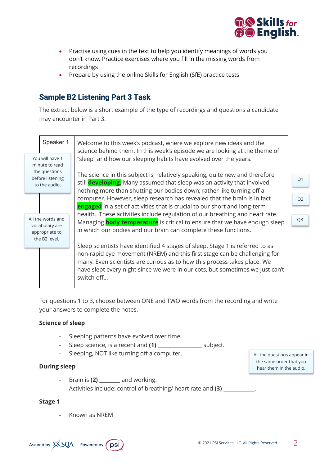

- Practise using cues in the text to help you identify meanings of words you don't know. Practice exercises where you fill in the missing words from recordings
- Prepare by using the online Skills for English (SfE) practice tests

## **Sample B2 Listening Part 3 Task**

The extract below is a short example of the type of recordings and questions a candidate may encounter in Part 3.

|  | Speaker 1                                                                               | Welcome to this week's podcast, where we explore new ideas and the<br>science behind them. In this week's episode we are looking at the theme of<br>"sleep" and how our sleeping habits have evolved over the years.<br>The science in this subject is, relatively speaking, quite new and therefore<br>still developing. Many assumed that sleep was an activity that involved<br>nothing more than shutting our bodies down; rather like turning off a |                      |
|--|-----------------------------------------------------------------------------------------|----------------------------------------------------------------------------------------------------------------------------------------------------------------------------------------------------------------------------------------------------------------------------------------------------------------------------------------------------------------------------------------------------------------------------------------------------------|----------------------|
|  | You will have 1<br>minute to read<br>the questions<br>before listening<br>to the audio. |                                                                                                                                                                                                                                                                                                                                                                                                                                                          | Q <sub>1</sub>       |
|  | All the words and<br>vocabulary are<br>appropriate to<br>the B2 level.                  | computer. However, sleep research has revealed that the brain is in fact<br>engaged in a set of activities that is crucial to our short and long-term<br>health. These activities include regulation of our breathing and heart rate.<br>Managing <b>body temperature</b> is critical to ensure that we have enough sleep<br>in which our bodies and our brain can complete these functions.                                                             | Q2<br>Q <sub>3</sub> |
|  |                                                                                         | Sleep scientists have identified 4 stages of sleep. Stage 1 is referred to as<br>non-rapid eye movement (NREM) and this first stage can be challenging for<br>many. Even scientists are curious as to how this process takes place. We<br>have slept every night since we were in our cots, but sometimes we just can't<br>switch off                                                                                                                    |                      |

For questions 1 to 3, choose between ONE and TWO words from the recording and write your answers to complete the notes.

### **Science of sleep**

- Sleeping patterns have evolved over time.
- Sleep science, is a recent and **(1)** \_\_\_\_\_\_\_\_\_\_\_\_\_\_\_\_\_ subject.
- Sleeping, NOT like turning off a computer.

### **During sleep**

- Brain is **(2)** \_\_\_\_\_\_\_\_ and working.
- Activities include: control of breathing/ heart rate and **(3)** \_\_\_\_\_\_\_\_\_\_\_\_.

### **Stage 1**

- Known as NREM



All the questions appear in the same order that you hear them in the audio.